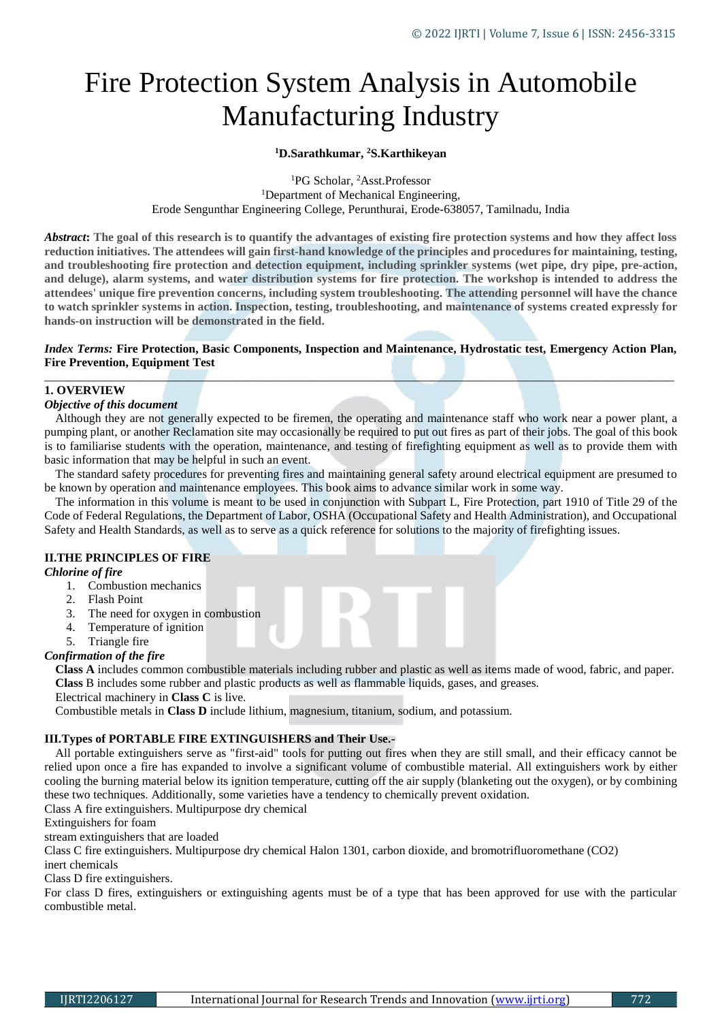# Fire Protection System Analysis in Automobile Manufacturing Industry

## **<sup>1</sup>D.Sarathkumar, <sup>2</sup>S.Karthikeyan**

<sup>1</sup>PG Scholar, <sup>2</sup>Asst.Professor <sup>1</sup>Department of Mechanical Engineering, Erode Sengunthar Engineering College, Perunthurai, Erode-638057, Tamilnadu, India

*Abstract***: The goal of this research is to quantify the advantages of existing fire protection systems and how they affect loss reduction initiatives. The attendees will gain first-hand knowledge of the principles and procedures for maintaining, testing,** and troubleshooting fire protection and detection equipment, including sprinkler systems (wet pipe, dry pipe, pre-action, **and deluge), alarm systems, and water distribution systems for fire protection. The workshop is intended to address the attendees' unique fire prevention concerns, including system troubleshooting. The attending personnel will have the chance** to watch sprinkler systems in action. Inspection, testing, troubleshooting, and maintenance of systems created expressly for **hands-on instruction will be demonstrated in the field.**

## *Index Terms:* **Fire Protection, Basic Components, Inspection and Maintenance, Hydrostatic test, Emergency Action Plan, Fire Prevention, Equipment Test** \_\_\_\_\_\_\_\_\_\_\_\_\_\_\_\_\_\_\_\_\_\_\_\_\_\_\_\_\_\_\_\_\_\_\_\_\_\_\_\_\_\_\_\_\_\_\_\_\_\_\_\_\_\_\_\_\_\_\_\_\_\_\_\_\_\_\_\_\_\_\_\_\_\_\_\_\_\_\_\_\_\_\_\_\_\_\_\_\_\_\_\_\_\_\_\_\_\_\_\_\_\_\_\_

# **1. OVERVIEW**

## *Objective of this document*

Although they are not generally expected to be firemen, the operating and maintenance staff who work near a power plant, a pumping plant, or another Reclamation site may occasionally be required to put out fires as part of their jobs. The goal of this book is to familiarise students with the operation, maintenance, and testing of firefighting equipment as well as to provide them with basic information that may be helpful in such an event.

The standard safety procedures for preventing fires and maintaining general safety around electrical equipment are presumed to be known by operation and maintenance employees. This book aims to advance similar work in some way.

The information in this volume is meant to be used in conjunction with Subpart L, Fire Protection, part 1910 of Title 29 of the Code of Federal Regulations, the Department of Labor, OSHA (Occupational Safety and Health Administration), and Occupational Safety and Health Standards, as well as to serve as a quick reference for solutions to the majority of firefighting issues.

# **II.THE PRINCIPLES OF FIRE**

## *Chlorine of fire*

- 1. Combustion mechanics
- 2. Flash Point
- 3. The need for oxygen in combustion
- 4. Temperature of ignition
- 5. Triangle fire

## *Confirmation of the fire*

**Class A** includes common combustible materials including rubber and plastic as well as items made of wood, fabric, and paper. **Class** B includes some rubber and plastic products as well as flammable liquids, gases, and greases.

Electrical machinery in **Class C** is live.

Combustible metals in **Class D** include lithium, magnesium, titanium, sodium, and potassium.

## **III.Types of PORTABLE FIRE EXTINGUISHERS and Their Use.-**

All portable extinguishers serve as "first-aid" tools for putting out fires when they are still small, and their efficacy cannot be relied upon once a fire has expanded to involve a significant volume of combustible material. All extinguishers work by either cooling the burning material below its ignition temperature, cutting off the air supply (blanketing out the oxygen), or by combining these two techniques. Additionally, some varieties have a tendency to chemically prevent oxidation.

Class A fire extinguishers. Multipurpose dry chemical

Extinguishers for foam

stream extinguishers that are loaded

Class C fire extinguishers. Multipurpose dry chemical Halon 1301, carbon dioxide, and bromotrifluoromethane (CO2) inert chemicals

Class D fire extinguishers.

For class D fires, extinguishers or extinguishing agents must be of a type that has been approved for use with the particular combustible metal.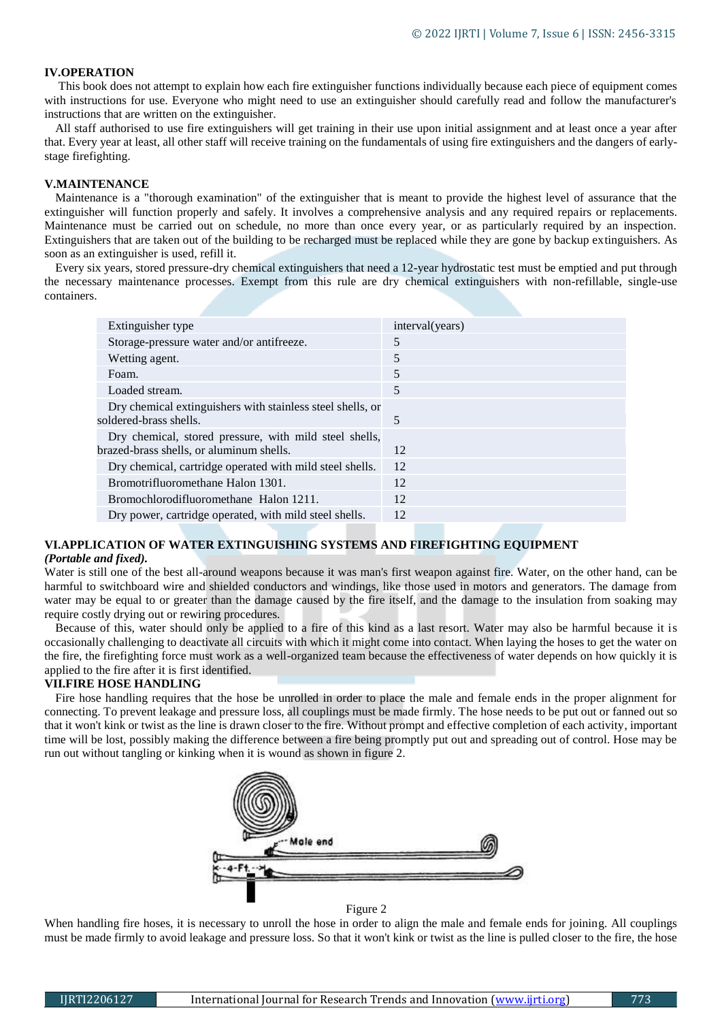## **IV.OPERATION**

This book does not attempt to explain how each fire extinguisher functions individually because each piece of equipment comes with instructions for use. Everyone who might need to use an extinguisher should carefully read and follow the manufacturer's instructions that are written on the extinguisher.

All staff authorised to use fire extinguishers will get training in their use upon initial assignment and at least once a year after that. Every year at least, all other staff will receive training on the fundamentals of using fire extinguishers and the dangers of earlystage firefighting.

#### **V.MAINTENANCE**

Maintenance is a "thorough examination" of the extinguisher that is meant to provide the highest level of assurance that the extinguisher will function properly and safely. It involves a comprehensive analysis and any required repairs or replacements. Maintenance must be carried out on schedule, no more than once every year, or as particularly required by an inspection. Extinguishers that are taken out of the building to be recharged must be replaced while they are gone by backup extinguishers. As soon as an extinguisher is used, refill it.

Every six years, stored pressure-dry chemical extinguishers that need a 12-year hydrostatic test must be emptied and put through the necessary maintenance processes. Exempt from this rule are dry chemical extinguishers with non-refillable, single-use containers.

| Extinguisher type                                          | interval(years) |
|------------------------------------------------------------|-----------------|
| Storage-pressure water and/or antifreeze.                  | 5               |
| Wetting agent.                                             | 5               |
| Foam.                                                      | 5               |
| Loaded stream.                                             | 5               |
| Dry chemical extinguishers with stainless steel shells, or |                 |
| soldered-brass shells.                                     | 5               |
| Dry chemical, stored pressure, with mild steel shells,     |                 |
| brazed-brass shells, or aluminum shells.                   | 12              |
| Dry chemical, cartridge operated with mild steel shells.   | 12              |
| Bromotrifluoromethane Halon 1301.                          | 12              |
| Bromochlorodifluoromethane Halon 1211.                     | 12              |
| Dry power, cartridge operated, with mild steel shells.     | 12              |
|                                                            |                 |

# **VI.APPLICATION OF WATER EXTINGUISHING SYSTEMS AND FIREFIGHTING EQUIPMENT**  *(Portable and fixed).*

Water is still one of the best all-around weapons because it was man's first weapon against fire. Water, on the other hand, can be harmful to switchboard wire and shielded conductors and windings, like those used in motors and generators. The damage from water may be equal to or greater than the damage caused by the fire itself, and the damage to the insulation from soaking may require costly drying out or rewiring procedures.

Because of this, water should only be applied to a fire of this kind as a last resort. Water may also be harmful because it is occasionally challenging to deactivate all circuits with which it might come into contact. When laying the hoses to get the water on the fire, the firefighting force must work as a well-organized team because the effectiveness of water depends on how quickly it is applied to the fire after it is first identified.

# **VII.FIRE HOSE HANDLING**

Fire hose handling requires that the hose be unrolled in order to place the male and female ends in the proper alignment for connecting. To prevent leakage and pressure loss, all couplings must be made firmly. The hose needs to be put out or fanned out so that it won't kink or twist as the line is drawn closer to the fire. Without prompt and effective completion of each activity, important time will be lost, possibly making the difference between a fire being promptly put out and spreading out of control. Hose may be run out without tangling or kinking when it is wound as shown in figure 2.



Figure 2

When handling fire hoses, it is necessary to unroll the hose in order to align the male and female ends for joining. All couplings must be made firmly to avoid leakage and pressure loss. So that it won't kink or twist as the line is pulled closer to the fire, the hose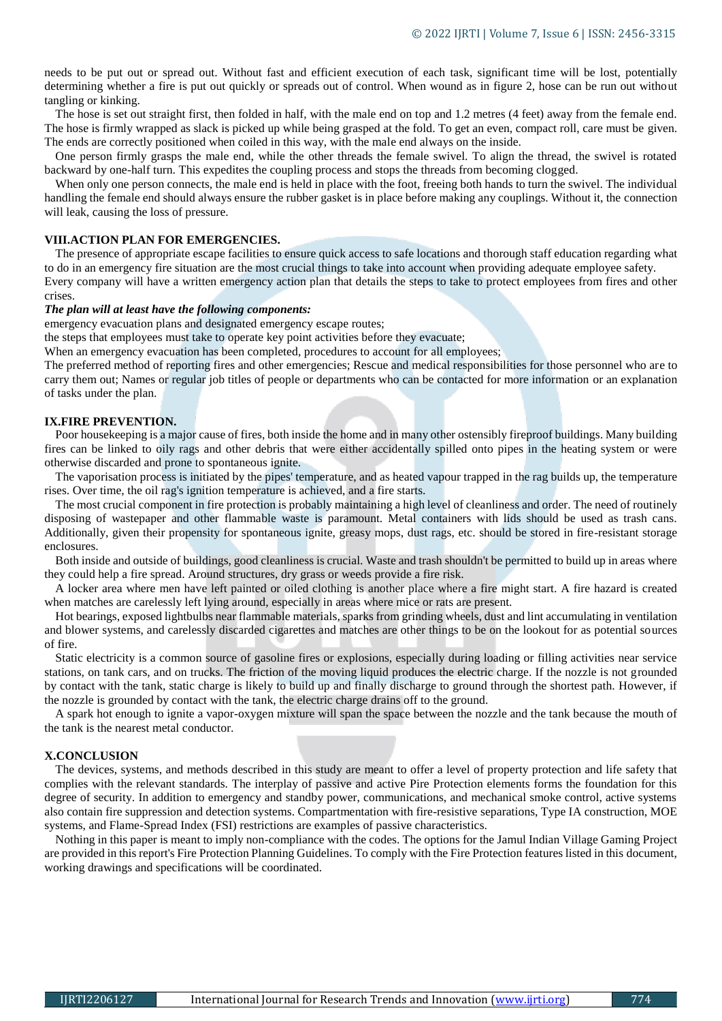needs to be put out or spread out. Without fast and efficient execution of each task, significant time will be lost, potentially determining whether a fire is put out quickly or spreads out of control. When wound as in figure 2, hose can be run out without tangling or kinking.

The hose is set out straight first, then folded in half, with the male end on top and 1.2 metres (4 feet) away from the female end. The hose is firmly wrapped as slack is picked up while being grasped at the fold. To get an even, compact roll, care must be given. The ends are correctly positioned when coiled in this way, with the male end always on the inside.

One person firmly grasps the male end, while the other threads the female swivel. To align the thread, the swivel is rotated backward by one-half turn. This expedites the coupling process and stops the threads from becoming clogged.

When only one person connects, the male end is held in place with the foot, freeing both hands to turn the swivel. The individual handling the female end should always ensure the rubber gasket is in place before making any couplings. Without it, the connection will leak, causing the loss of pressure.

#### **VIII.ACTION PLAN FOR EMERGENCIES.**

The presence of appropriate escape facilities to ensure quick access to safe locations and thorough staff education regarding what to do in an emergency fire situation are the most crucial things to take into account when providing adequate employee safety. Every company will have a written emergency action plan that details the steps to take to protect employees from fires and other

#### crises.

#### *The plan will at least have the following components:*

emergency evacuation plans and designated emergency escape routes;

the steps that employees must take to operate key point activities before they evacuate;

When an emergency evacuation has been completed, procedures to account for all employees;

The preferred method of reporting fires and other emergencies; Rescue and medical responsibilities for those personnel who are to carry them out; Names or regular job titles of people or departments who can be contacted for more information or an explanation of tasks under the plan.

#### **IX.FIRE PREVENTION.**

Poor housekeeping is a major cause of fires, both inside the home and in many other ostensibly fireproof buildings. Many building fires can be linked to oily rags and other debris that were either accidentally spilled onto pipes in the heating system or were otherwise discarded and prone to spontaneous ignite.

The vaporisation process is initiated by the pipes' temperature, and as heated vapour trapped in the rag builds up, the temperature rises. Over time, the oil rag's ignition temperature is achieved, and a fire starts.

The most crucial component in fire protection is probably maintaining a high level of cleanliness and order. The need of routinely disposing of wastepaper and other flammable waste is paramount. Metal containers with lids should be used as trash cans. Additionally, given their propensity for spontaneous ignite, greasy mops, dust rags, etc. should be stored in fire-resistant storage enclosures.

Both inside and outside of buildings, good cleanliness is crucial. Waste and trash shouldn't be permitted to build up in areas where they could help a fire spread. Around structures, dry grass or weeds provide a fire risk.

A locker area where men have left painted or oiled clothing is another place where a fire might start. A fire hazard is created when matches are carelessly left lying around, especially in areas where mice or rats are present.

Hot bearings, exposed lightbulbs near flammable materials, sparks from grinding wheels, dust and lint accumulating in ventilation and blower systems, and carelessly discarded cigarettes and matches are other things to be on the lookout for as potential sources of fire.

Static electricity is a common source of gasoline fires or explosions, especially during loading or filling activities near service stations, on tank cars, and on trucks. The friction of the moving liquid produces the electric charge. If the nozzle is not grounded by contact with the tank, static charge is likely to build up and finally discharge to ground through the shortest path. However, if the nozzle is grounded by contact with the tank, the electric charge drains off to the ground.

A spark hot enough to ignite a vapor-oxygen mixture will span the space between the nozzle and the tank because the mouth of the tank is the nearest metal conductor.

#### **X.CONCLUSION**

The devices, systems, and methods described in this study are meant to offer a level of property protection and life safety that complies with the relevant standards. The interplay of passive and active Pire Protection elements forms the foundation for this degree of security. In addition to emergency and standby power, communications, and mechanical smoke control, active systems also contain fire suppression and detection systems. Compartmentation with fire-resistive separations, Type IA construction, MOE systems, and Flame-Spread Index (FSI) restrictions are examples of passive characteristics.

Nothing in this paper is meant to imply non-compliance with the codes. The options for the Jamul Indian Village Gaming Project are provided in this report's Fire Protection Planning Guidelines. To comply with the Fire Protection features listed in this document, working drawings and specifications will be coordinated.